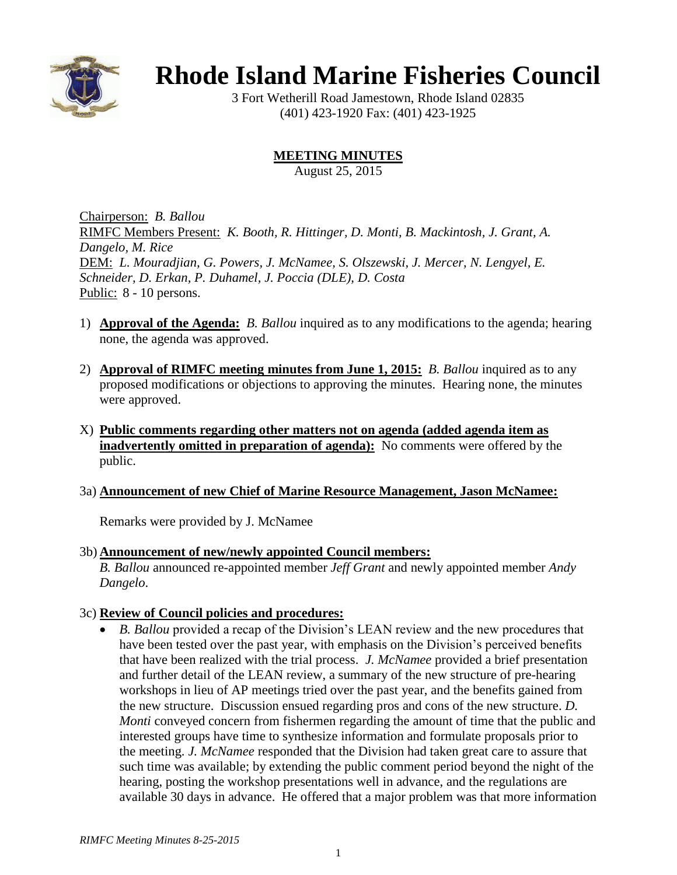

# **Rhode Island Marine Fisheries Council**

3 Fort Wetherill Road Jamestown, Rhode Island 02835 (401) 423-1920 Fax: (401) 423-1925

## **MEETING MINUTES**

August 25, 2015

Chairperson: *B. Ballou* RIMFC Members Present: *K. Booth, R. Hittinger, D. Monti, B. Mackintosh, J. Grant, A. Dangelo, M. Rice* DEM: *L. Mouradjian, G. Powers, J. McNamee, S. Olszewski, J. Mercer, N. Lengyel, E. Schneider, D. Erkan, P. Duhamel, J. Poccia (DLE), D. Costa* Public: 8 - 10 persons.

- 1) **Approval of the Agenda:** *B. Ballou* inquired as to any modifications to the agenda; hearing none, the agenda was approved.
- 2) **Approval of RIMFC meeting minutes from June 1, 2015:** *B. Ballou* inquired as to any proposed modifications or objections to approving the minutes. Hearing none, the minutes were approved.
- X) **Public comments regarding other matters not on agenda (added agenda item as inadvertently omitted in preparation of agenda):** No comments were offered by the public.

### 3a) **Announcement of new Chief of Marine Resource Management, Jason McNamee:**

Remarks were provided by J. McNamee

### 3b) **Announcement of new/newly appointed Council members:**

*B. Ballou* announced re-appointed member *Jeff Grant* and newly appointed member *Andy Dangelo*.

### 3c) **Review of Council policies and procedures:**

 *B. Ballou* provided a recap of the Division's LEAN review and the new procedures that have been tested over the past year, with emphasis on the Division's perceived benefits that have been realized with the trial process. *J. McNamee* provided a brief presentation and further detail of the LEAN review, a summary of the new structure of pre-hearing workshops in lieu of AP meetings tried over the past year, and the benefits gained from the new structure. Discussion ensued regarding pros and cons of the new structure. *D. Monti* conveyed concern from fishermen regarding the amount of time that the public and interested groups have time to synthesize information and formulate proposals prior to the meeting. *J. McNamee* responded that the Division had taken great care to assure that such time was available; by extending the public comment period beyond the night of the hearing, posting the workshop presentations well in advance, and the regulations are available 30 days in advance. He offered that a major problem was that more information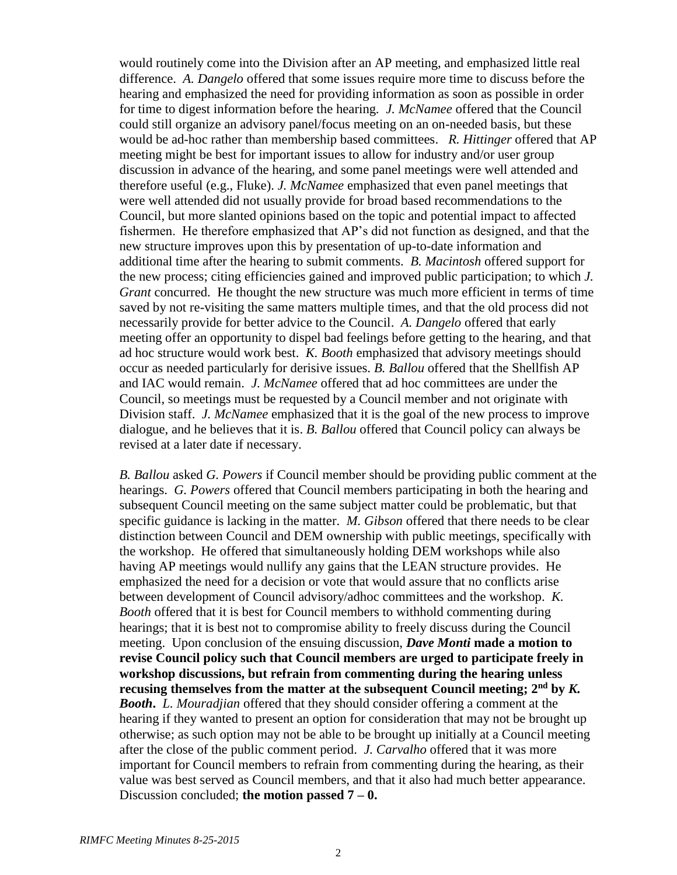would routinely come into the Division after an AP meeting, and emphasized little real difference. *A. Dangelo* offered that some issues require more time to discuss before the hearing and emphasized the need for providing information as soon as possible in order for time to digest information before the hearing. *J. McNamee* offered that the Council could still organize an advisory panel/focus meeting on an on-needed basis, but these would be ad-hoc rather than membership based committees. *R. Hittinger* offered that AP meeting might be best for important issues to allow for industry and/or user group discussion in advance of the hearing, and some panel meetings were well attended and therefore useful (e.g., Fluke). *J. McNamee* emphasized that even panel meetings that were well attended did not usually provide for broad based recommendations to the Council, but more slanted opinions based on the topic and potential impact to affected fishermen. He therefore emphasized that AP's did not function as designed, and that the new structure improves upon this by presentation of up-to-date information and additional time after the hearing to submit comments. *B. Macintosh* offered support for the new process; citing efficiencies gained and improved public participation; to which *J. Grant* concurred. He thought the new structure was much more efficient in terms of time saved by not re-visiting the same matters multiple times, and that the old process did not necessarily provide for better advice to the Council. *A. Dangelo* offered that early meeting offer an opportunity to dispel bad feelings before getting to the hearing, and that ad hoc structure would work best. *K. Booth* emphasized that advisory meetings should occur as needed particularly for derisive issues. *B. Ballou* offered that the Shellfish AP and IAC would remain. *J. McNamee* offered that ad hoc committees are under the Council, so meetings must be requested by a Council member and not originate with Division staff. *J. McNamee* emphasized that it is the goal of the new process to improve dialogue, and he believes that it is. *B. Ballou* offered that Council policy can always be revised at a later date if necessary.

*B. Ballou* asked *G. Powers* if Council member should be providing public comment at the hearings. *G. Powers* offered that Council members participating in both the hearing and subsequent Council meeting on the same subject matter could be problematic, but that specific guidance is lacking in the matter. *M. Gibson* offered that there needs to be clear distinction between Council and DEM ownership with public meetings, specifically with the workshop. He offered that simultaneously holding DEM workshops while also having AP meetings would nullify any gains that the LEAN structure provides. He emphasized the need for a decision or vote that would assure that no conflicts arise between development of Council advisory/adhoc committees and the workshop. *K. Booth* offered that it is best for Council members to withhold commenting during hearings; that it is best not to compromise ability to freely discuss during the Council meeting. Upon conclusion of the ensuing discussion, *Dave Monti* **made a motion to revise Council policy such that Council members are urged to participate freely in workshop discussions, but refrain from commenting during the hearing unless recusing themselves from the matter at the subsequent Council meeting; 2nd by** *K. Booth***.** *L. Mouradjian* offered that they should consider offering a comment at the hearing if they wanted to present an option for consideration that may not be brought up otherwise; as such option may not be able to be brought up initially at a Council meeting after the close of the public comment period. *J. Carvalho* offered that it was more important for Council members to refrain from commenting during the hearing, as their value was best served as Council members, and that it also had much better appearance. Discussion concluded; **the motion passed 7 – 0.**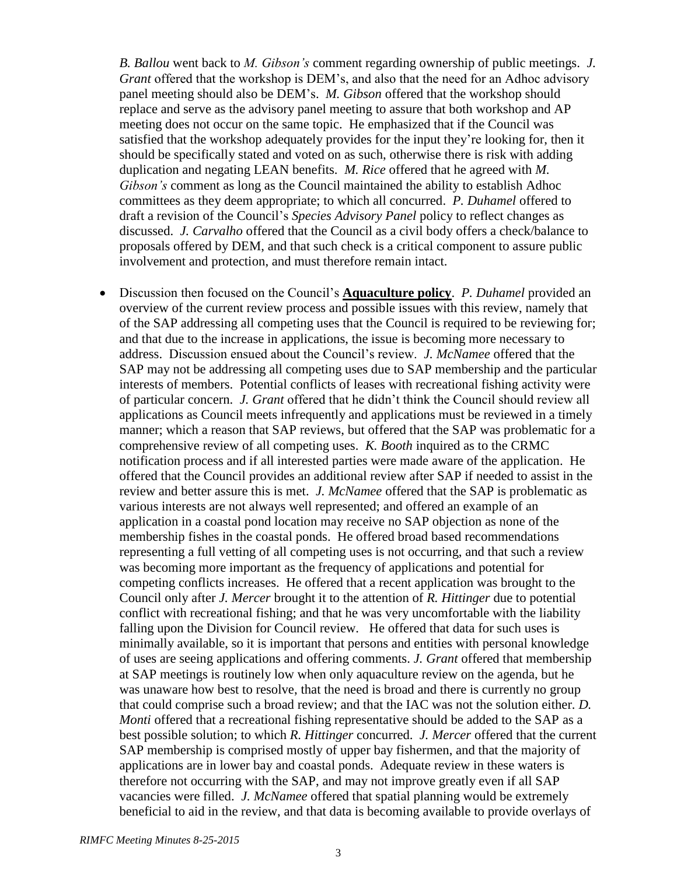*B. Ballou* went back to *M. Gibson's* comment regarding ownership of public meetings. *J. Grant* offered that the workshop is DEM's, and also that the need for an Adhoc advisory panel meeting should also be DEM's. *M. Gibson* offered that the workshop should replace and serve as the advisory panel meeting to assure that both workshop and AP meeting does not occur on the same topic. He emphasized that if the Council was satisfied that the workshop adequately provides for the input they're looking for, then it should be specifically stated and voted on as such, otherwise there is risk with adding duplication and negating LEAN benefits. *M. Rice* offered that he agreed with *M. Gibson's* comment as long as the Council maintained the ability to establish Adhoc committees as they deem appropriate; to which all concurred. *P. Duhamel* offered to draft a revision of the Council's *Species Advisory Panel* policy to reflect changes as discussed. *J. Carvalho* offered that the Council as a civil body offers a check/balance to proposals offered by DEM, and that such check is a critical component to assure public involvement and protection, and must therefore remain intact.

 Discussion then focused on the Council's **Aquaculture policy**. *P. Duhamel* provided an overview of the current review process and possible issues with this review, namely that of the SAP addressing all competing uses that the Council is required to be reviewing for; and that due to the increase in applications, the issue is becoming more necessary to address. Discussion ensued about the Council's review. *J. McNamee* offered that the SAP may not be addressing all competing uses due to SAP membership and the particular interests of members. Potential conflicts of leases with recreational fishing activity were of particular concern. *J. Grant* offered that he didn't think the Council should review all applications as Council meets infrequently and applications must be reviewed in a timely manner; which a reason that SAP reviews, but offered that the SAP was problematic for a comprehensive review of all competing uses. *K. Booth* inquired as to the CRMC notification process and if all interested parties were made aware of the application. He offered that the Council provides an additional review after SAP if needed to assist in the review and better assure this is met. *J. McNamee* offered that the SAP is problematic as various interests are not always well represented; and offered an example of an application in a coastal pond location may receive no SAP objection as none of the membership fishes in the coastal ponds. He offered broad based recommendations representing a full vetting of all competing uses is not occurring, and that such a review was becoming more important as the frequency of applications and potential for competing conflicts increases. He offered that a recent application was brought to the Council only after *J. Mercer* brought it to the attention of *R. Hittinger* due to potential conflict with recreational fishing; and that he was very uncomfortable with the liability falling upon the Division for Council review. He offered that data for such uses is minimally available, so it is important that persons and entities with personal knowledge of uses are seeing applications and offering comments. *J. Grant* offered that membership at SAP meetings is routinely low when only aquaculture review on the agenda, but he was unaware how best to resolve, that the need is broad and there is currently no group that could comprise such a broad review; and that the IAC was not the solution either. *D. Monti* offered that a recreational fishing representative should be added to the SAP as a best possible solution; to which *R. Hittinger* concurred. *J. Mercer* offered that the current SAP membership is comprised mostly of upper bay fishermen, and that the majority of applications are in lower bay and coastal ponds. Adequate review in these waters is therefore not occurring with the SAP, and may not improve greatly even if all SAP vacancies were filled. *J. McNamee* offered that spatial planning would be extremely beneficial to aid in the review, and that data is becoming available to provide overlays of